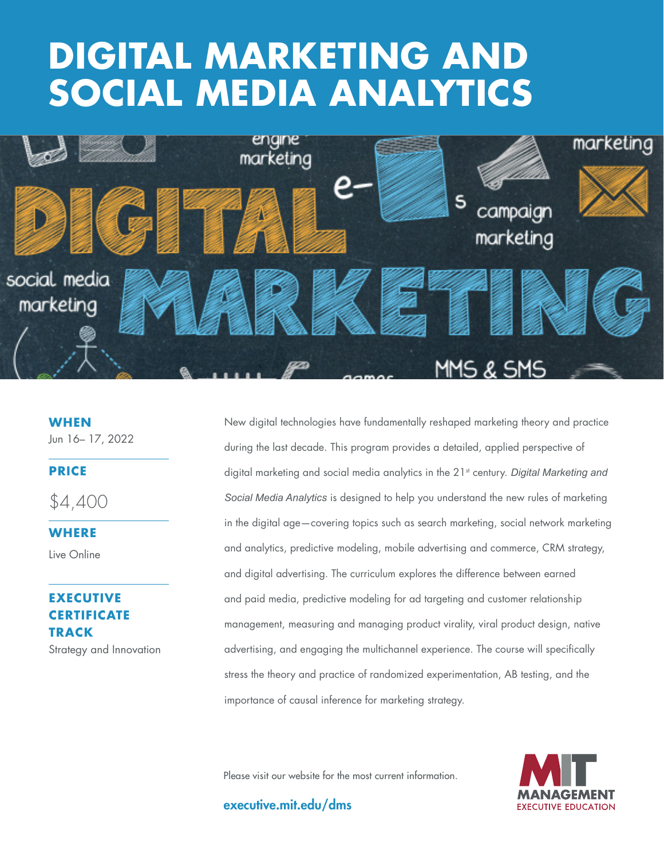# THE GOOD CONTRACT OF STREET **DIGITAL MARKETING AND SOCIAL MEDIA ANALYTICS**



**WHEN** Jun 16– 17, 2022

#### **PRICE**

\$4,400

**WHERE** 

Live Online

# **EXECUTIVE CERTIFICATE TRACK**

Strategy and Innovation

New digital technologies have fundamentally reshaped marketing theory and practice during the last decade. This program provides a detailed, applied perspective of digital marketing and social media analytics in the 21<sup>st</sup> century. *Digital Marketing and Social Media Analytics* is designed to help you understand the new rules of marketing in the digital age—covering topics such as search marketing, social network marketing and analytics, predictive modeling, mobile advertising and commerce, CRM strategy, and digital advertising. The curriculum explores the difference between earned and paid media, predictive modeling for ad targeting and customer relationship management, measuring and managing product virality, viral product design, native advertising, and engaging the multichannel experience. The course will specifically stress the theory and practice of randomized experimentation, AB testing, and the importance of causal inference for marketing strategy.

Please visit our website for the most current information.

executive.mit.edu/dms